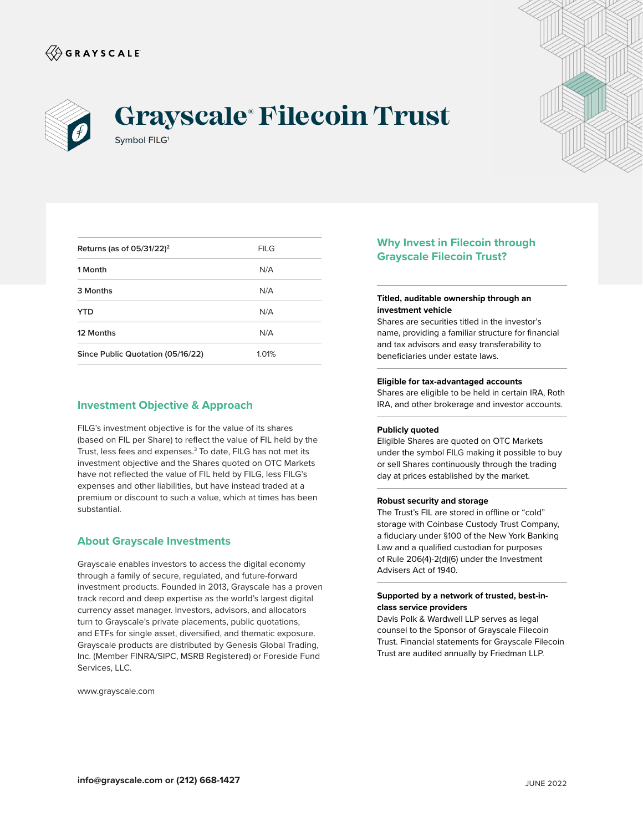



# Symbol FILG<sup>1</sup> **Grayscale® Filecoin Trust**



| Returns (as of $05/31/22$ ) <sup>2</sup> | <b>FILG</b> |
|------------------------------------------|-------------|
| 1 Month                                  | N/A         |
| 3 Months                                 | N/A         |
| <b>YTD</b>                               | N/A         |
| 12 Months                                | N/A         |
| Since Public Quotation (05/16/22)        | 1.01%       |

## **Investment Objective & Approach**

FILG's investment objective is for the value of its shares (based on FIL per Share) to reflect the value of FIL held by the Trust, less fees and expenses.<sup>3</sup> To date, FILG has not met its investment objective and the Shares quoted on OTC Markets have not reflected the value of FIL held by FILG, less FILG's expenses and other liabilities, but have instead traded at a premium or discount to such a value, which at times has been substantial.

### **About Grayscale Investments**

Grayscale enables investors to access the digital economy through a family of secure, regulated, and future-forward investment products. Founded in 2013, Grayscale has a proven track record and deep expertise as the world's largest digital currency asset manager. Investors, advisors, and allocators turn to Grayscale's private placements, public quotations, and ETFs for single asset, diversified, and thematic exposure. Grayscale products are distributed by Genesis Global Trading, Inc. (Member FINRA/SIPC, MSRB Registered) or Foreside Fund Services, LLC.

www.grayscale.com

## **Why Invest in Filecoin through Grayscale Filecoin Trust?**

#### **Titled, auditable ownership through an investment vehicle**

Shares are securities titled in the investor's name, providing a familiar structure for financial and tax advisors and easy transferability to beneficiaries under estate laws.

#### **Eligible for tax-advantaged accounts**

Shares are eligible to be held in certain IRA, Roth IRA, and other brokerage and investor accounts.

#### **Publicly quoted**

Eligible Shares are quoted on OTC Markets under the symbol FILG making it possible to buy or sell Shares continuously through the trading day at prices established by the market.

#### **Robust security and storage**

The Trust's FIL are stored in offline or "cold" storage with Coinbase Custody Trust Company, a fiduciary under §100 of the New York Banking Law and a qualified custodian for purposes of Rule 206(4)-2(d)(6) under the Investment Advisers Act of 1940.

#### **Supported by a network of trusted, best-inclass service providers**

Davis Polk & Wardwell LLP serves as legal counsel to the Sponsor of Grayscale Filecoin Trust. Financial statements for Grayscale Filecoin Trust are audited annually by Friedman LLP.